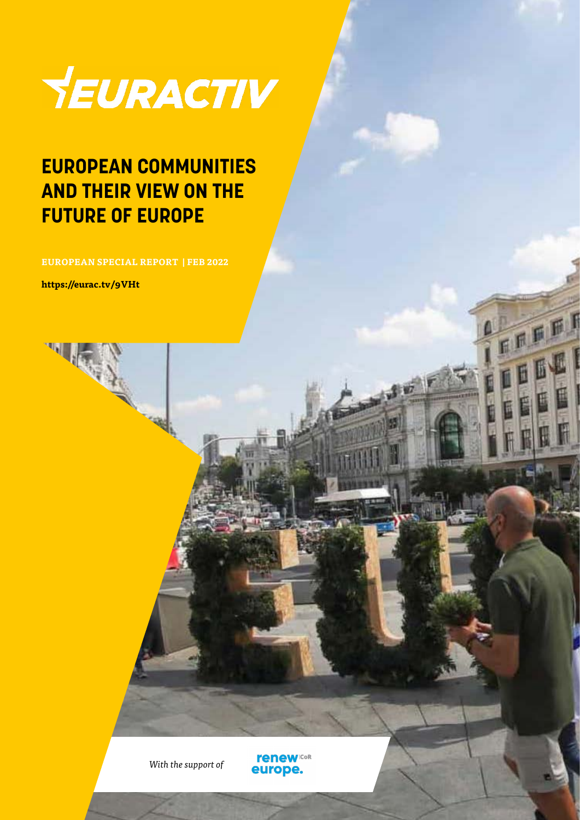

### **EUROPEAN COMMUNITIES AND THEIR VIEW ON THE FUTURE OF EUROPE**

**EUROPEAN SPECIAL REPORT | FEB 2022**

**https://eurac.tv/9VHt**

*With the support of*

**renew** Cor europe.

FREE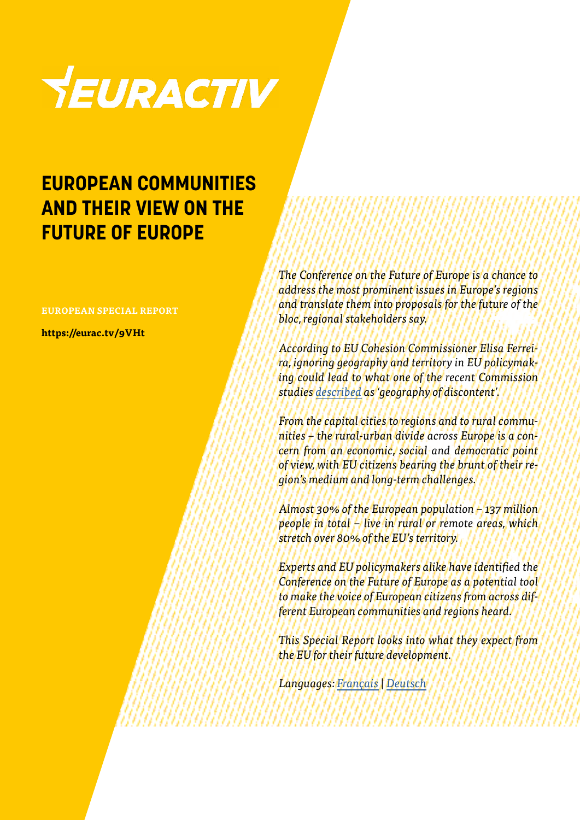

### **EUROPEAN COMMUNITIES AND THEIR VIEW ON THE FUTURE OF EUROPE**

#### **EUROPEAN SPECIAL REPORT**

**https://eurac.tv/9VHt**

*The Conference on the Future of Europe is a chance to address the most prominent issues in Europe's regions and translate them into proposals for the future of the bloc, regional stakeholders say.*

*According to EU Cohesion Commissioner Elisa Ferreira, ignoring geography and territory in EU policymaking could lead to what one of the recent Commission studies [described](https://www.euractiv.com/section/agriculture-food/news/eu-to-fight-geography-of-discontent-with-new-vision-for-rural-areas/) as 'geography of discontent'.*

*From the capital cities to regions and to rural communities – the rural-urban divide across Europe is a concern from an economic, social and democratic point of view, with EU citizens bearing the brunt of their region's medium and long-term challenges.*

*Almost 30% of the European population – 137 million people in total – live in rural or remote areas, which stretch over 80% of the EU's territory.*

*Experts and EU policymakers alike have identified the Conference on the Future of Europe as a potential tool to make the voice of European citizens from across different European communities and regions heard.*

*This Special Report looks into what they expect from the EU for their future development.*

*Languages: [Français](https://www.euractiv.fr/section/avenir-de-lue/special_report/european-communities-and-their-view-on-the-future-of-europe/?_ga=2.2282873.837121459.1644914113-1399841842.1643883858) | [Deutsch](https://www.euractiv.de/section/europakompakt/special_report/europaeische-gemeinden-und-ihre-vorstellungen-von-europas-zukunft/?_ga=2.2282873.837121459.1644914113-1399841842.1643883858)*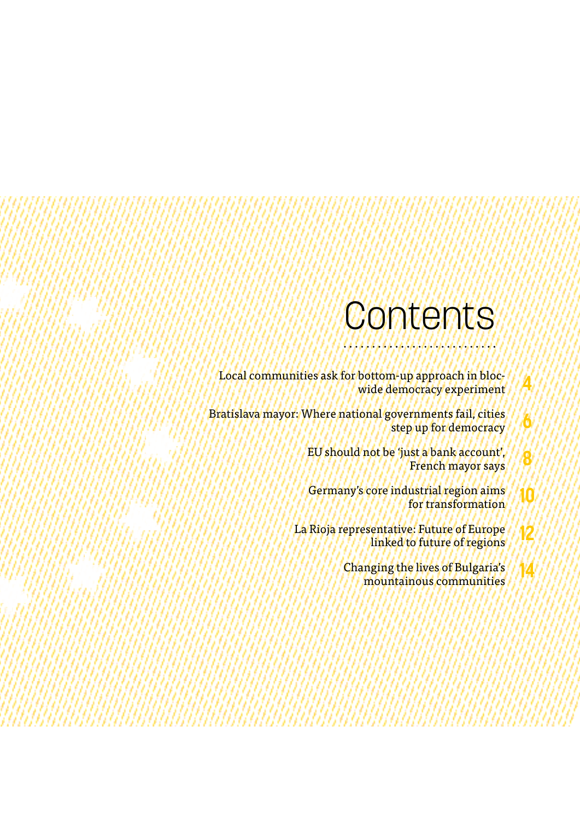### Contents

**4**

**6**

**8**

**12**

**14**

Local communities ask for bottom-up approach in blocwide democracy experiment

Bratislava mayor: Where national governments fail, cities step up for democracy

> EU should not be 'just a bank account', French mayor says

Germany's core industrial region aims for transformation **10**

La Rioja representative: Future of Europe linked to future of regions

> Changing the lives of Bulgaria's mountainous communities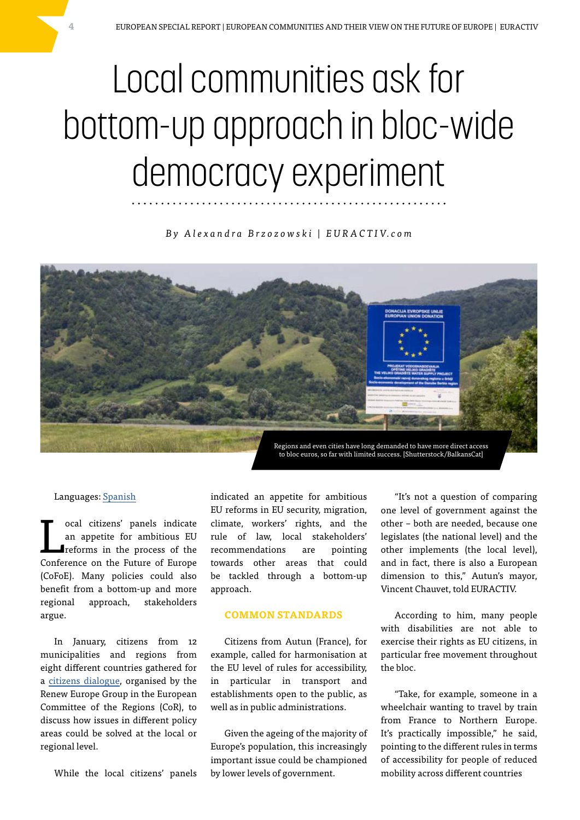# Local communities ask for bottom-up approach in bloc-wide democracy experiment

#### *B y A l e x a n d r a B r z o z o w s k i | E U R A C T I V. c o m*



#### Languages: [Spanish](https://euroefe.euractiv.es/section/europa-de-las-regiones/linksdossier/ciudadanos-piden-subsidiariedad-impulsar-regiones-comunidades-europa/)

L ocal citizens' panels indicate an appetite for ambitious EU reforms in the process of the Conference on the Future of Europe (CoFoE). Many policies could also benefit from a bottom-up and more regional approach, stakeholders argue.

In January, citizens from 12 municipalities and regions from eight different countries gathered for a [citizens dialogue,](https://futureu.europa.eu/processes/OtherIdeas/f/7/meetings/107515?filter%5Bactivity%5D=all&filter%5Bcountry%5D%5B%5D=&filter%5Bdate%5D%5B%5D=&filter%5Bdate%5D%5B%5D=upcoming&filter%5Bmeeting_report%5D=&filter%5Borigin%5D%5B%5D=&filter%5Bsearch_text%5D=&filter%5Bstate%5D=&filter%5Btype%5D%5B%5D=&filter%5Btype%5D%5B%5D=hybrid) organised by the Renew Europe Group in the European Committee of the Regions (CoR), to discuss how issues in different policy areas could be solved at the local or regional level.

While the local citizens' panels

indicated an appetite for ambitious EU reforms in EU security, migration, climate, workers' rights, and the rule of law, local stakeholders' recommendations are pointing towards other areas that could be tackled through a bottom-up approach.

#### **COMMON STANDARDS**

Citizens from Autun (France), for example, called for harmonisation at the EU level of rules for accessibility, in particular in transport and establishments open to the public, as well as in public administrations.

Given the ageing of the majority of Europe's population, this increasingly important issue could be championed by lower levels of government.

"It's not a question of comparing one level of government against the other – both are needed, because one legislates (the national level) and the other implements (the local level), and in fact, there is also a European dimension to this," Autun's mayor, Vincent Chauvet, told EURACTIV.

According to him, many people with disabilities are not able to exercise their rights as EU citizens, in particular free movement throughout the bloc.

"Take, for example, someone in a wheelchair wanting to travel by train from France to Northern Europe. It's practically impossible," he said, pointing to the different rules in terms of accessibility for people of reduced mobility across different countries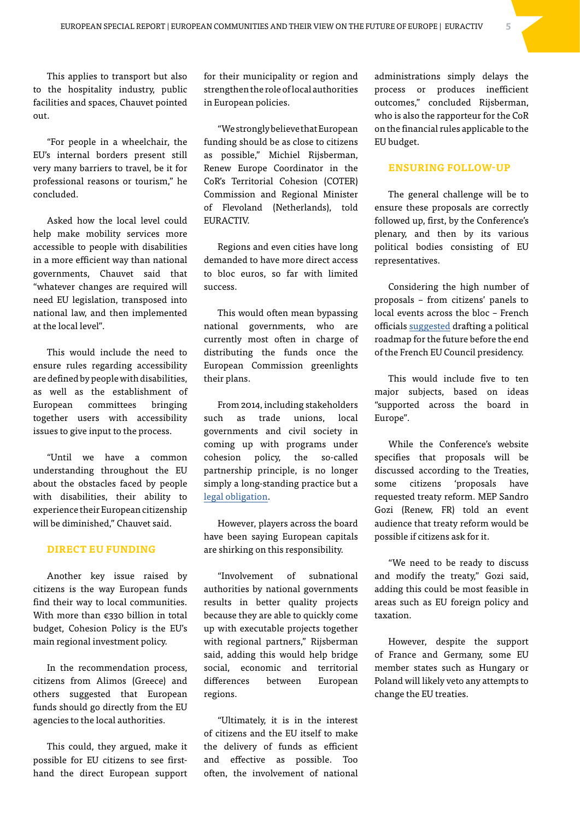This applies to transport but also to the hospitality industry, public facilities and spaces, Chauvet pointed out.

"For people in a wheelchair, the EU's internal borders present still very many barriers to travel, be it for professional reasons or tourism," he concluded.

Asked how the local level could help make mobility services more accessible to people with disabilities in a more efficient way than national governments, Chauvet said that "whatever changes are required will need EU legislation, transposed into national law, and then implemented at the local level".

This would include the need to ensure rules regarding accessibility are defined by people with disabilities, as well as the establishment of European committees bringing together users with accessibility issues to give input to the process.

"Until we have a common understanding throughout the EU about the obstacles faced by people with disabilities, their ability to experience their European citizenship will be diminished," Chauvet said.

#### **DIRECT EU FUNDING**

Another key issue raised by citizens is the way European funds find their way to local communities. With more than €330 billion in total budget, Cohesion Policy is the EU's main regional investment policy.

In the recommendation process, citizens from Alimos (Greece) and others suggested that European funds should go directly from the EU agencies to the local authorities.

This could, they argued, make it possible for EU citizens to see firsthand the direct European support

for their municipality or region and strengthen the role of local authorities in European policies.

"We strongly believe that European funding should be as close to citizens as possible," Michiel Rijsberman, Renew Europe Coordinator in the CoR's Territorial Cohesion (COTER) Commission and Regional Minister of Flevoland (Netherlands), told EURACTIV.

Regions and even cities have long demanded to have more direct access to bloc euros, so far with limited success.

This would often mean bypassing national governments, who are currently most often in charge of distributing the funds once the European Commission greenlights their plans.

From 2014, including stakeholders such as trade unions, local governments and civil society in coming up with programs under cohesion policy, the so-called partnership principle, is no longer simply a long-standing practice but a [legal obligation.](https://eur-lex.europa.eu/legal-content/EN/TXT/PDF/?uri=CELEX:32014R0240&:PDF)

However, players across the board have been saying European capitals are shirking on this responsibility.

"Involvement of subnational authorities by national governments results in better quality projects because they are able to quickly come up with executable projects together with regional partners," Rijsberman said, adding this would help bridge social, economic and territorial differences between European regions.

"Ultimately, it is in the interest of citizens and the EU itself to make the delivery of funds as efficient and effective as possible. Too often, the involvement of national

administrations simply delays the process or produces inefficient outcomes," concluded Rijsberman, who is also the rapporteur for the CoR on the financial rules applicable to the EU budget.

#### **ENSURING FOLLOW-UP**

The general challenge will be to ensure these proposals are correctly followed up, first, by the Conference's plenary, and then by its various political bodies consisting of EU representatives.

Considering the high number of proposals – from citizens' panels to local events across the bloc – French officials [suggested](https://www.euractiv.com/section/future-eu/news/french-presidency-has-hope-for-council-on-the-future-of-europe/) drafting a political roadmap for the future before the end of the French EU Council presidency.

This would include five to ten major subjects, based on ideas "supported across the board in Europe".

While the Conference's website specifies that proposals will be discussed according to the Treaties, some citizens 'proposals have requested treaty reform. MEP Sandro Gozi (Renew, FR) told an event audience that treaty reform would be possible if citizens ask for it.

"We need to be ready to discuss and modify the treaty," Gozi said, adding this could be most feasible in areas such as EU foreign policy and taxation.

However, despite the support of France and Germany, some EU member states such as Hungary or Poland will likely veto any attempts to change the EU treaties.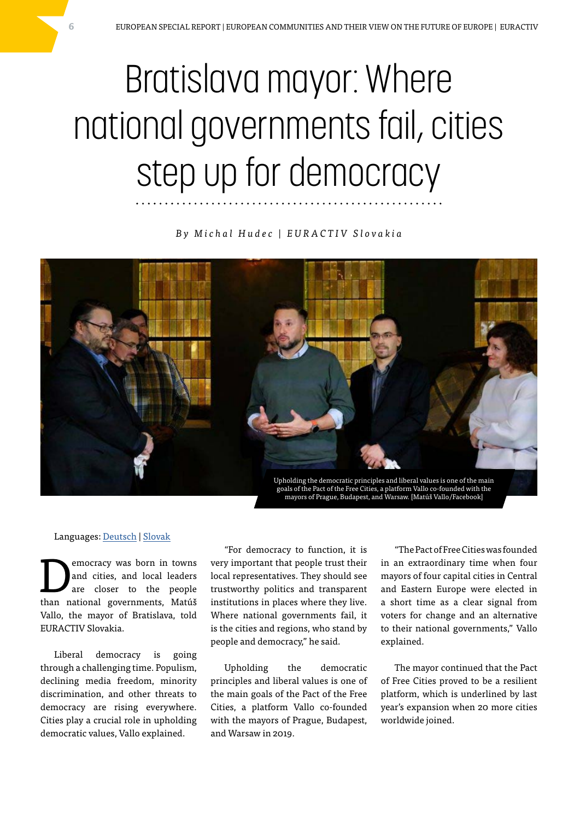# Bratislava mayor: Where national governments fail, cities step up for democracy

#### *By Michal Hudec | EURACTIV Slovakia*



#### Languages: [Deutsch](https://www.euractiv.de/section/europakompakt/news/bratislavas-buergermeister-wo-nationale-regierungen-versagen-treten-staedte-fuer-demokratie-ein/?_ga=2.63623782.837121459.1644914113-1399841842.1643883858) | [Slovak](https://euractiv.sk/section/ekonomika-a-euro/news/matus-vallo-zakladom-boja-so-zmenou-klimy-je-zmena-spravania-ludi-ale-najma-korporacii/)

**EXECUTE CONSERVING MANUS CONSERVANCE CONSERVANCE CONSERVANCE CONSERVANCE CONSERVANCE CONSERVANCE CONSERVANCE CONSERVANCE CONSERVANCE CONSERVANCE CONSERVANCE CONSERVANCE CONSERVANCE CONSERVANCE CONSERVANCE CONSERVANCE CONS** and cities, and local leaders than national governments, Matúš Vallo, the mayor of Bratislava, told EURACTIV Slovakia.

Liberal democracy is going through a challenging time. Populism, declining media freedom, minority discrimination, and other threats to democracy are rising everywhere. Cities play a crucial role in upholding democratic values, Vallo explained.

"For democracy to function, it is very important that people trust their local representatives. They should see trustworthy politics and transparent institutions in places where they live. Where national governments fail, it is the cities and regions, who stand by people and democracy," he said.

Upholding the democratic principles and liberal values is one of the main goals of the Pact of the Free Cities, a platform Vallo co-founded with the mayors of Prague, Budapest, and Warsaw in 2019.

"The Pact of Free Cities was founded in an extraordinary time when four mayors of four capital cities in Central and Eastern Europe were elected in a short time as a clear signal from voters for change and an alternative to their national governments," Vallo explained.

The mayor continued that the Pact of Free Cities proved to be a resilient platform, which is underlined by last year's expansion when 20 more cities worldwide joined.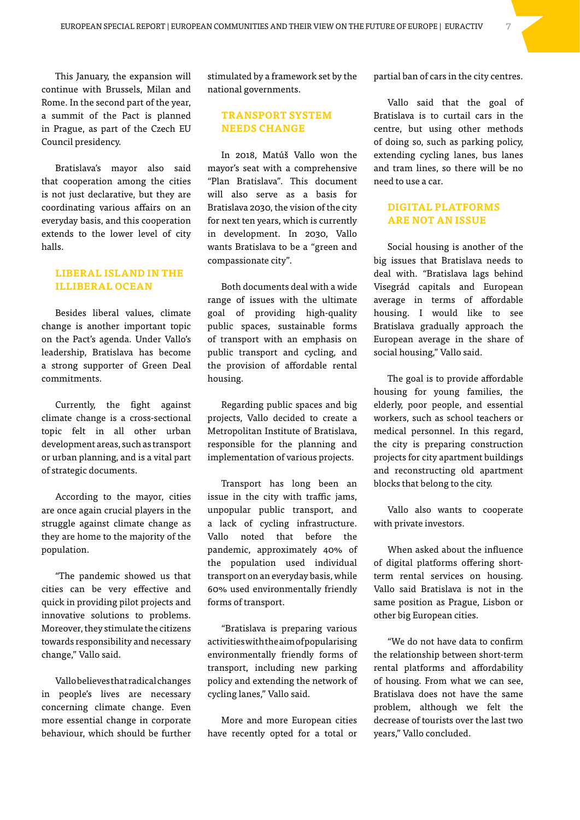This January, the expansion will continue with Brussels, Milan and Rome. In the second part of the year, a summit of the Pact is planned in Prague, as part of the Czech EU Council presidency.

Bratislava's mayor also said that cooperation among the cities is not just declarative, but they are coordinating various affairs on an everyday basis, and this cooperation extends to the lower level of city halls.

#### **LIBERAL ISLAND IN THE ILLIBERAL OCEAN**

Besides liberal values, climate change is another important topic on the Pact's agenda. Under Vallo's leadership, Bratislava has become a strong supporter of Green Deal commitments.

Currently, the fight against climate change is a cross-sectional topic felt in all other urban development areas, such as transport or urban planning, and is a vital part of strategic documents.

According to the mayor, cities are once again crucial players in the struggle against climate change as they are home to the majority of the population.

"The pandemic showed us that cities can be very effective and quick in providing pilot projects and innovative solutions to problems. Moreover, they stimulate the citizens towards responsibility and necessary change," Vallo said.

Vallo believes that radical changes in people's lives are necessary concerning climate change. Even more essential change in corporate behaviour, which should be further

stimulated by a framework set by the national governments.

#### **TRANSPORT SYSTEM NEEDS CHANGE**

In 2018, Matúš Vallo won the mayor's seat with a comprehensive "Plan Bratislava". This document will also serve as a basis for Bratislava 2030, the vision of the city for next ten years, which is currently in development. In 2030, Vallo wants Bratislava to be a "green and compassionate city".

Both documents deal with a wide range of issues with the ultimate goal of providing high-quality public spaces, sustainable forms of transport with an emphasis on public transport and cycling, and the provision of affordable rental housing.

Regarding public spaces and big projects, Vallo decided to create a Metropolitan Institute of Bratislava, responsible for the planning and implementation of various projects.

Transport has long been an issue in the city with traffic jams, unpopular public transport, and a lack of cycling infrastructure. Vallo noted that before the pandemic, approximately 40% of the population used individual transport on an everyday basis, while 60% used environmentally friendly forms of transport.

"Bratislava is preparing various activities with the aim of popularising environmentally friendly forms of transport, including new parking policy and extending the network of cycling lanes," Vallo said.

More and more European cities have recently opted for a total or partial ban of cars in the city centres.

Vallo said that the goal of Bratislava is to curtail cars in the centre, but using other methods of doing so, such as parking policy, extending cycling lanes, bus lanes and tram lines, so there will be no need to use a car.

#### **DIGITAL PLATFORMS ARE NOT AN ISSUE**

Social housing is another of the big issues that Bratislava needs to deal with. "Bratislava lags behind Visegrád capitals and European average in terms of affordable housing. I would like to see Bratislava gradually approach the European average in the share of social housing," Vallo said.

The goal is to provide affordable housing for young families, the elderly, poor people, and essential workers, such as school teachers or medical personnel. In this regard, the city is preparing construction projects for city apartment buildings and reconstructing old apartment blocks that belong to the city.

Vallo also wants to cooperate with private investors.

When asked about the influence of digital platforms offering shortterm rental services on housing. Vallo said Bratislava is not in the same position as Prague, Lisbon or other big European cities.

"We do not have data to confirm the relationship between short-term rental platforms and affordability of housing. From what we can see, Bratislava does not have the same problem, although we felt the decrease of tourists over the last two years," Vallo concluded.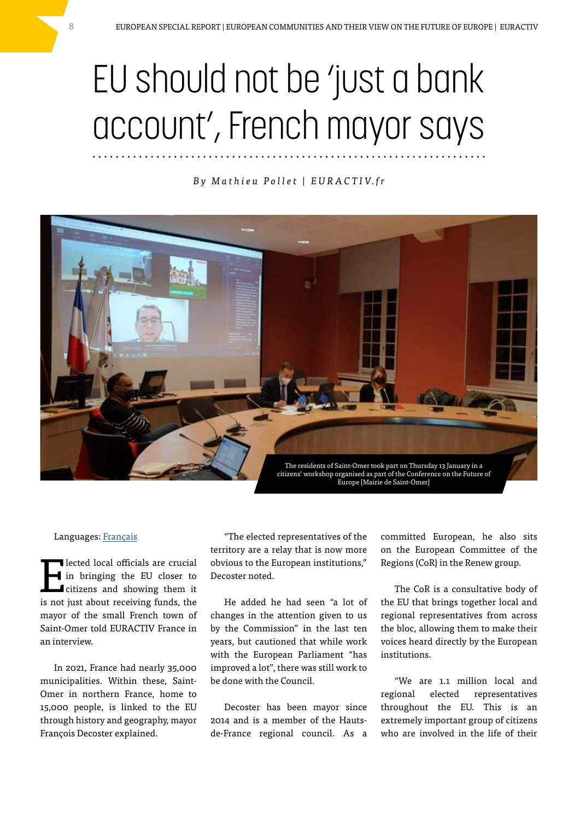## EU should not be 'just a bank account', French mayor says

#### *B y M a t h i e u P o l l e t | E U R A C T I V. f r*



#### Languages: [Français](https://www.euractiv.fr/section/politique/news/pour-le-maire-de-saint-omer-ue-ne-doit-pas-se-limiter-a-un-compte-en-banque/?_ga=2.23450227.837121459.1644914113-1399841842.1643883858)

The lected local officials are crucial<br>
in bringing the EU closer to<br>
citizens and showing them it<br>
is not just about measures funds the in bringing the EU closer to is not just about receiving funds, the mayor of the small French town of Saint-Omer told EURACTIV France in an interview.

In 2021, France had nearly 35,000 municipalities. Within these, Saint-Omer in northern France, home to 15,000 people, is linked to the EU through history and geography, mayor François Decoster explained.

"The elected representatives of the territory are a relay that is now more obvious to the European institutions," Decoster noted.

He added he had seen "a lot of changes in the attention given to us by the Commission" in the last ten years, but cautioned that while work with the European Parliament "has improved a lot", there was still work to be done with the Council.

Decoster has been mayor since 2014 and is a member of the Hautsde-France regional council. As a committed European, he also sits on the European Committee of the Regions (CoR) in the Renew group.

The CoR is a consultative body of the EU that brings together local and regional representatives from across the bloc, allowing them to make their voices heard directly by the European institutions.

"We are 1.1 million local and regional elected representatives throughout the EU. This is an extremely important group of citizens who are involved in the life of their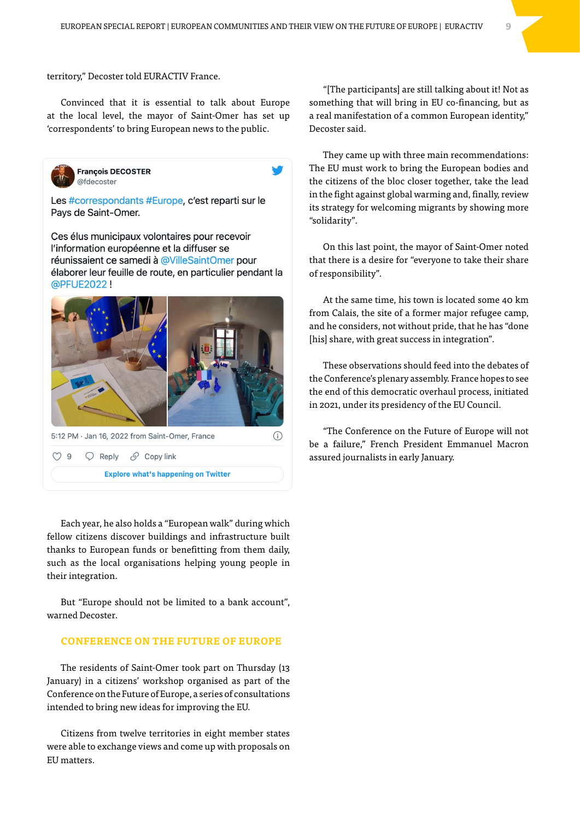territory," Decoster told EURACTIV France.

Convinced that it is essential to talk about Europe at the local level, the mayor of Saint-Omer has set up 'correspondents' to bring European news to the public.



**François DECOSTER** @fdecoster

Les #correspondants #Europe, c'est reparti sur le Pays de Saint-Omer.

Ces élus municipaux volontaires pour recevoir l'information européenne et la diffuser se réunissaient ce samedi à @VilleSaintOmer pour élaborer leur feuille de route, en particulier pendant la @PFUE2022!



**Explore what's happening on Twitter** 

Each year, he also holds a "European walk" during which fellow citizens discover buildings and infrastructure built thanks to European funds or benefitting from them daily, such as the local organisations helping young people in their integration.

But "Europe should not be limited to a bank account", warned Decoster.

#### **CONFERENCE ON THE FUTURE OF EUROPE**

The residents of Saint-Omer took part on Thursday (13 January) in a citizens' workshop organised as part of the Conference on the Future of Europe, a series of consultations intended to bring new ideas for improving the EU.

Citizens from twelve territories in eight member states were able to exchange views and come up with proposals on EU matters.

"[The participants] are still talking about it! Not as something that will bring in EU co-financing, but as a real manifestation of a common European identity," Decoster said.

They came up with three main recommendations: The EU must work to bring the European bodies and the citizens of the bloc closer together, take the lead in the fight against global warming and, finally, review its strategy for welcoming migrants by showing more "solidarity".

On this last point, the mayor of Saint-Omer noted that there is a desire for "everyone to take their share of responsibility".

At the same time, his town is located some 40 km from Calais, the site of a former major refugee camp, and he considers, not without pride, that he has "done [his] share, with great success in integration".

These observations should feed into the debates of the Conference's plenary assembly. France hopes to see the end of this democratic overhaul process, initiated in 2021, under its presidency of the EU Council.

"The Conference on the Future of Europe will not be a failure," French President Emmanuel Macron assured journalists in early January.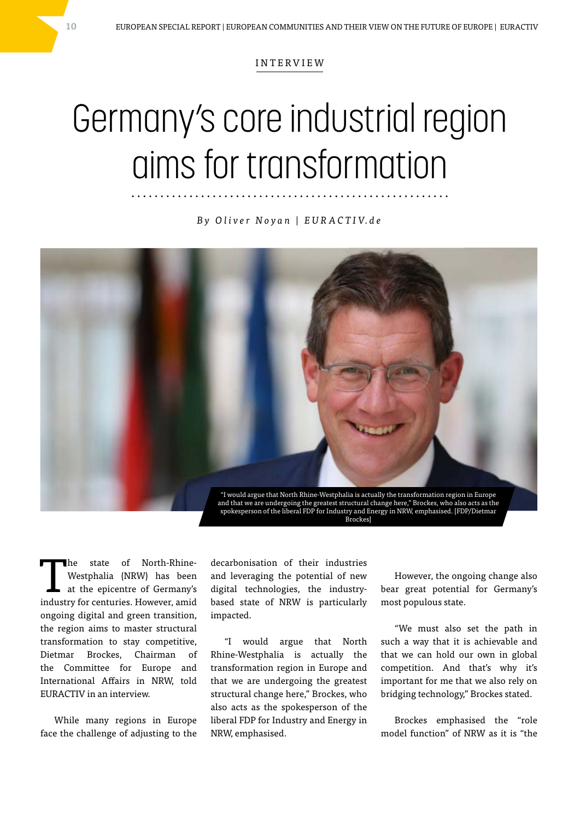#### INTERVIEW

### Germany's core industrial region aims for transformation

*B y O l i v e r N o y a n | E U R A C T I V. d e*



The state of North-Rhine-<br>Westphalia (NRW) has been<br>at the epicentre of Germany's<br>industry for contains Hermany's Westphalia (NRW) has been industry for centuries. However, amid ongoing digital and green transition, the region aims to master structural transformation to stay competitive, Dietmar Brockes, Chairman of the Committee for Europe and International Affairs in NRW, told EURACTIV in an interview.

While many regions in Europe face the challenge of adjusting to the

decarbonisation of their industries and leveraging the potential of new digital technologies, the industrybased state of NRW is particularly impacted.

"I would argue that North Rhine-Westphalia is actually the transformation region in Europe and that we are undergoing the greatest structural change here," Brockes, who also acts as the spokesperson of the liberal FDP for Industry and Energy in NRW, emphasised.

However, the ongoing change also bear great potential for Germany's most populous state.

"We must also set the path in such a way that it is achievable and that we can hold our own in global competition. And that's why it's important for me that we also rely on bridging technology," Brockes stated.

Brockes emphasised the "role model function" of NRW as it is "the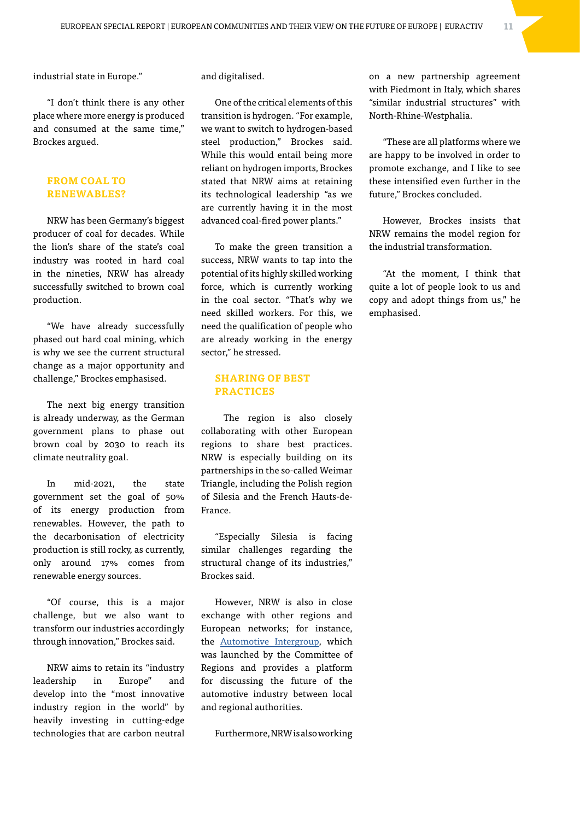industrial state in Europe."

"I don't think there is any other place where more energy is produced and consumed at the same time," Brockes argued.

#### **FROM COAL TO RENEWABLES?**

NRW has been Germany's biggest producer of coal for decades. While the lion's share of the state's coal industry was rooted in hard coal in the nineties, NRW has already successfully switched to brown coal production.

"We have already successfully phased out hard coal mining, which is why we see the current structural change as a major opportunity and challenge," Brockes emphasised.

The next big energy transition is already underway, as the German government plans to phase out brown coal by 2030 to reach its climate neutrality goal.

In mid-2021, the state government set the goal of 50% of its energy production from renewables. However, the path to the decarbonisation of electricity production is still rocky, as currently, only around 17% comes from renewable energy sources.

"Of course, this is a major challenge, but we also want to transform our industries accordingly through innovation," Brockes said.

NRW aims to retain its "industry leadership in Europe" and develop into the "most innovative industry region in the world" by heavily investing in cutting-edge technologies that are carbon neutral

and digitalised.

One of the critical elements of this transition is hydrogen. "For example, we want to switch to hydrogen-based steel production," Brockes said. While this would entail being more reliant on hydrogen imports, Brockes stated that NRW aims at retaining its technological leadership "as we are currently having it in the most advanced coal-fired power plants."

To make the green transition a success, NRW wants to tap into the potential of its highly skilled working force, which is currently working in the coal sector. "That's why we need skilled workers. For this, we need the qualification of people who are already working in the energy sector," he stressed.

#### **SHARING OF BEST PRACTICES**

 The region is also closely collaborating with other European regions to share best practices. NRW is especially building on its partnerships in the so-called Weimar Triangle, including the Polish region of Silesia and the French Hauts-de-France.

"Especially Silesia is facing similar challenges regarding the structural change of its industries," Brockes said.

However, NRW is also in close exchange with other regions and European networks; for instance, the [Automotive Intergroup,](https://www.euractiv.com/section/politics/interview/germanys-core-industrial-region-aims-for-transformation/%20Nord%20Pas%20de%20Calais-Picardie) which was launched by the Committee of Regions and provides a platform for discussing the future of the automotive industry between local and regional authorities.

Furthermore, NRW is also working

on a new partnership agreement with Piedmont in Italy, which shares "similar industrial structures" with North-Rhine-Westphalia.

"These are all platforms where we are happy to be involved in order to promote exchange, and I like to see these intensified even further in the future," Brockes concluded.

However, Brockes insists that NRW remains the model region for the industrial transformation.

"At the moment, I think that quite a lot of people look to us and copy and adopt things from us," he emphasised.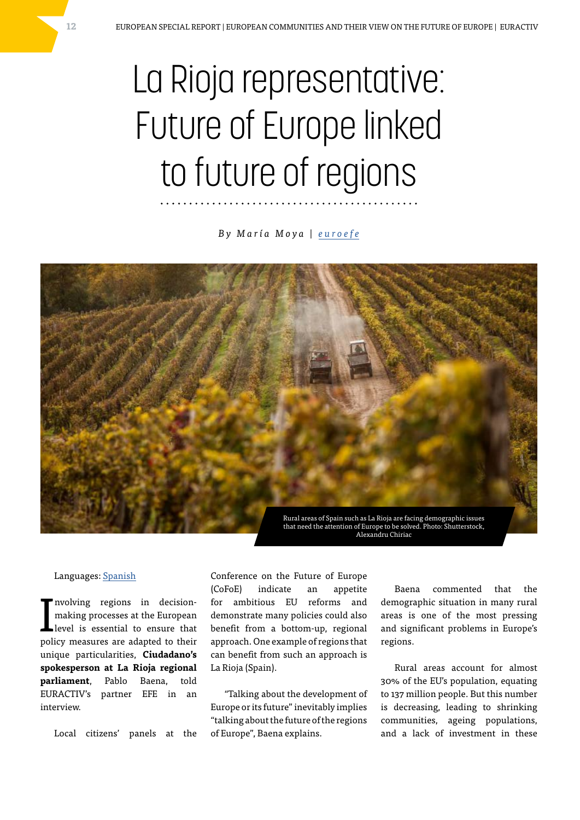## La Rioja representative: Future of Europe linked to future of regions

*By María Moya | [euroefe](https://www.euractiv.com/content_providers/euroefe/)*



#### Languages: [Spanish](https://euroefe.euractiv.es/section/europa-de-las-regiones/linksdossier/pablo-baena-de-ciudadanos-la-rioja-el-futuro-de-europa-pasa-por-el-futuro-de-sus-regiones/)

I nvolving regions in decisionmaking processes at the European level is essential to ensure that policy measures are adapted to their unique particularities, **Ciudadano's spokesperson at La Rioja regional parliament**, Pablo Baena, told EURACTIV's partner EFE in an interview.

Local citizens' panels at the

Conference on the Future of Europe (CoFoE) indicate an appetite for ambitious EU reforms and demonstrate many policies could also benefit from a bottom-up, regional approach. One example of regions that can benefit from such an approach is La Rioja (Spain).

"Talking about the development of Europe or its future" inevitably implies "talking about the future of the regions of Europe", Baena explains.

Baena commented that the demographic situation in many rural areas is one of the most pressing and significant problems in Europe's regions.

Rural areas account for almost 30% of the EU's population, equating to 137 million people. But this number is decreasing, leading to shrinking communities, ageing populations, and a lack of investment in these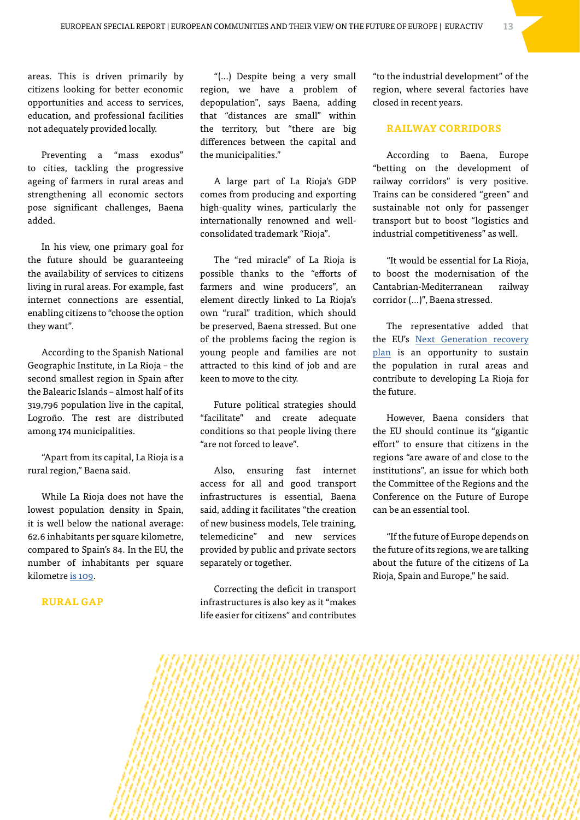areas. This is driven primarily by citizens looking for better economic opportunities and access to services, education, and professional facilities not adequately provided locally.

Preventing a "mass exodus" to cities, tackling the progressive ageing of farmers in rural areas and strengthening all economic sectors pose significant challenges, Baena added.

In his view, one primary goal for the future should be guaranteeing the availability of services to citizens living in rural areas. For example, fast internet connections are essential, enabling citizens to "choose the option they want".

According to the Spanish National Geographic Institute, in La Rioja – the second smallest region in Spain after the Balearic Islands – almost half of its 319,796 population live in the capital, Logroño. The rest are distributed among 174 municipalities.

"Apart from its capital, La Rioja is a rural region," Baena said.

While La Rioja does not have the lowest population density in Spain, it is well below the national average: 62.6 inhabitants per square kilometre, compared to Spain's 84. In the EU, the number of inhabitants per square kilometre [is 109.](https://ec.europa.eu/eurostat/statistics-explained/index.php?title=Population_statistics_at_regional_level#Regional_populations)

#### **RURAL GAP**

"(…) Despite being a very small region, we have a problem of depopulation", says Baena, adding that "distances are small" within the territory, but "there are big differences between the capital and the municipalities."

A large part of La Rioja's GDP comes from producing and exporting high-quality wines, particularly the internationally renowned and wellconsolidated trademark "Rioja".

The "red miracle" of La Rioja is possible thanks to the "efforts of farmers and wine producers", an element directly linked to La Rioja's own "rural" tradition, which should be preserved, Baena stressed. But one of the problems facing the region is young people and families are not attracted to this kind of job and are keen to move to the city.

Future political strategies should "facilitate" and create adequate conditions so that people living there "are not forced to leave".

Also, ensuring fast internet access for all and good transport infrastructures is essential, Baena said, adding it facilitates "the creation of new business models, Tele training, telemedicine" and new services provided by public and private sectors separately or together.

Correcting the deficit in transport infrastructures is also key as it "makes life easier for citizens" and contributes "to the industrial development" of the region, where several factories have closed in recent years.

#### **RAILWAY CORRIDORS**

According to Baena, Europe "betting on the development of railway corridors" is very positive. Trains can be considered "green" and sustainable not only for passenger transport but to boost "logistics and industrial competitiveness" as well.

"It would be essential for La Rioja, to boost the modernisation of the Cantabrian-Mediterranean railway corridor (…)", Baena stressed.

The representative added that the EU's [Next Generation recovery](https://europa.eu/next-generation-eu/index_en)  [plan](https://europa.eu/next-generation-eu/index_en) is an opportunity to sustain the population in rural areas and contribute to developing La Rioja for the future.

However, Baena considers that the EU should continue its "gigantic effort" to ensure that citizens in the regions "are aware of and close to the institutions", an issue for which both the Committee of the Regions and the Conference on the Future of Europe can be an essential tool.

"If the future of Europe depends on the future of its regions, we are talking about the future of the citizens of La Rioja, Spain and Europe," he said.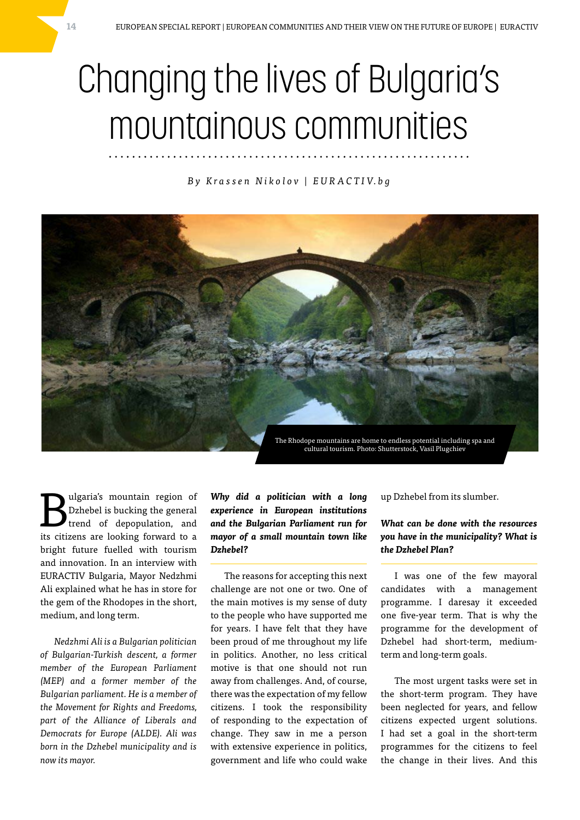### Changing the lives of Bulgaria's mountainous communities

*B y K r a s s e n N i k o l o v | E U R A C T I V. b g*



**B**ulgaria's mountain region of<br>trend of depopulation, and<br>its sitings are babing forward to a Dzhebel is bucking the general its citizens are looking forward to a bright future fuelled with tourism and innovation. In an interview with EURACTIV Bulgaria, Mayor Nedzhmi Ali explained what he has in store for the gem of the Rhodopes in the short, medium, and long term.

*Nedzhmi Ali is a Bulgarian politician of Bulgarian-Turkish descent, a former member of the European Parliament (MEP) and a former member of the Bulgarian parliament. He is a member of the Movement for Rights and Freedoms, part of the Alliance of Liberals and Democrats for Europe (ALDE). Ali was born in the Dzhebel municipality and is now its mayor.*

*Why did a politician with a long experience in European institutions and the Bulgarian Parliament run for mayor of a small mountain town like Dzhebel?*

The reasons for accepting this next challenge are not one or two. One of the main motives is my sense of duty to the people who have supported me for years. I have felt that they have been proud of me throughout my life in politics. Another, no less critical motive is that one should not run away from challenges. And, of course, there was the expectation of my fellow citizens. I took the responsibility of responding to the expectation of change. They saw in me a person with extensive experience in politics, government and life who could wake

up Dzhebel from its slumber.

#### *What can be done with the resources you have in the municipality? What is the Dzhebel Plan?*

I was one of the few mayoral candidates with a management programme. I daresay it exceeded one five-year term. That is why the programme for the development of Dzhebel had short-term, mediumterm and long-term goals.

The most urgent tasks were set in the short-term program. They have been neglected for years, and fellow citizens expected urgent solutions. I had set a goal in the short-term programmes for the citizens to feel the change in their lives. And this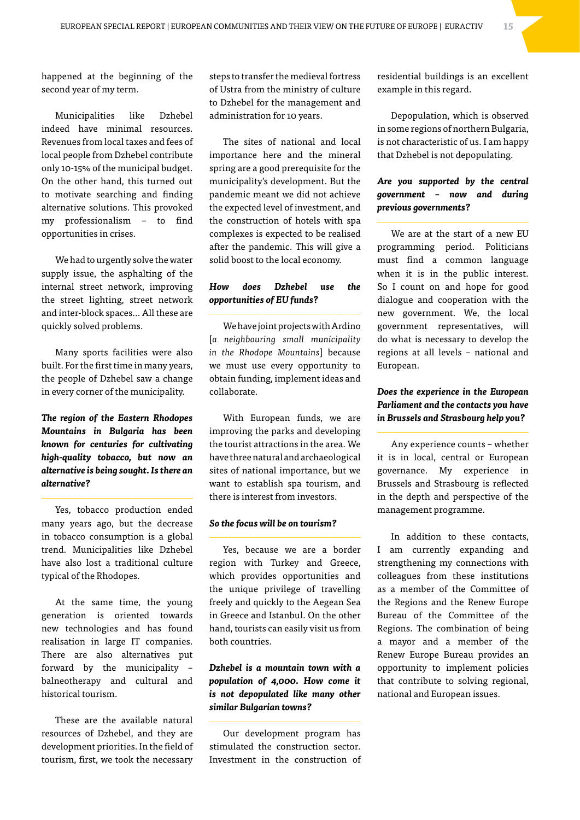happened at the beginning of the second year of my term.

Municipalities like Dzhebel indeed have minimal resources. Revenues from local taxes and fees of local people from Dzhebel contribute only 10-15% of the municipal budget. On the other hand, this turned out to motivate searching and finding alternative solutions. This provoked my professionalism – to find opportunities in crises.

We had to urgently solve the water supply issue, the asphalting of the internal street network, improving the street lighting, street network and inter-block spaces… All these are quickly solved problems.

Many sports facilities were also built. For the first time in many years, the people of Dzhebel saw a change in every corner of the municipality.

*The region of the Eastern Rhodopes Mountains in Bulgaria has been known for centuries for cultivating high-quality tobacco, but now an alternative is being sought. Is there an alternative?*

Yes, tobacco production ended many years ago, but the decrease in tobacco consumption is a global trend. Municipalities like Dzhebel have also lost a traditional culture typical of the Rhodopes.

At the same time, the young generation is oriented towards new technologies and has found realisation in large IT companies. There are also alternatives put forward by the municipality – balneotherapy and cultural and historical tourism.

These are the available natural resources of Dzhebel, and they are development priorities. In the field of tourism, first, we took the necessary

steps to transfer the medieval fortress of Ustra from the ministry of culture to Dzhebel for the management and administration for 10 years.

The sites of national and local importance here and the mineral spring are a good prerequisite for the municipality's development. But the pandemic meant we did not achieve the expected level of investment, and the construction of hotels with spa complexes is expected to be realised after the pandemic. This will give a solid boost to the local economy.

#### *How does Dzhebel use the opportunities of EU funds?*

We have joint projects with Ardino [*a neighbouring small municipality in the Rhodope Mountains*] because we must use every opportunity to obtain funding, implement ideas and collaborate.

With European funds, we are improving the parks and developing the tourist attractions in the area. We have three natural and archaeological sites of national importance, but we want to establish spa tourism, and there is interest from investors.

#### *So the focus will be on tourism?*

Yes, because we are a border region with Turkey and Greece, which provides opportunities and the unique privilege of travelling freely and quickly to the Aegean Sea in Greece and Istanbul. On the other hand, tourists can easily visit us from both countries.

#### *Dzhebel is a mountain town with a population of 4,000. How come it is not depopulated like many other similar Bulgarian towns?*

Our development program has stimulated the construction sector. Investment in the construction of residential buildings is an excellent example in this regard.

Depopulation, which is observed in some regions of northern Bulgaria, is not characteristic of us. I am happy that Dzhebel is not depopulating.

#### *Are you supported by the central government – now and during previous governments?*

We are at the start of a new EU programming period. Politicians must find a common language when it is in the public interest. So I count on and hope for good dialogue and cooperation with the new government. We, the local government representatives, will do what is necessary to develop the regions at all levels – national and European.

#### *Does the experience in the European Parliament and the contacts you have in Brussels and Strasbourg help you?*

Any experience counts – whether it is in local, central or European governance. My experience in Brussels and Strasbourg is reflected in the depth and perspective of the management programme.

In addition to these contacts, I am currently expanding and strengthening my connections with colleagues from these institutions as a member of the Committee of the Regions and the Renew Europe Bureau of the Committee of the Regions. The combination of being a mayor and a member of the Renew Europe Bureau provides an opportunity to implement policies that contribute to solving regional, national and European issues.